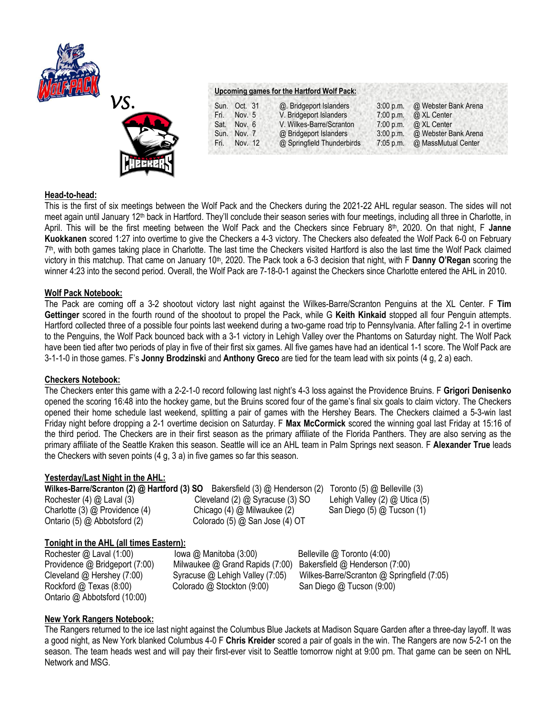



|              | Upcoming games for the Hartford Wolf Pack: |             |                              |
|--------------|--------------------------------------------|-------------|------------------------------|
| Sun. Oct. 31 | @. Bridgeport Islanders                    | $3:00$ p.m. | @ Webster Bank Arena         |
| Fri. Nov. 5  | V. Bridgeport Islanders                    |             | 7:00 p.m. $\omega$ XL Center |

Sat. Nov. 6 V. Wilkes-Barre/Scranton 7:00 p.m. @ XL Center<br>Sun. Nov. 7 @ Bridgeport Islanders 3:00 p.m. @ Webster B Sun. Nov. 7 @ Bridgeport Islanders 3:00 p.m. @ Webster Bank Arena Fri. Nov. 12 @ Springfield Thunderbirds 7:05 p.m. @ MassMutual Center

#### **Head-to-head:**

This is the first of six meetings between the Wolf Pack and the Checkers during the 2021-22 AHL regular season. The sides will not meet again until January 12<sup>th</sup> back in Hartford. They'll conclude their season series with four meetings, including all three in Charlotte, in April. This will be the first meeting between the Wolf Pack and the Checkers since February 8th, 2020. On that night, F **Janne Kuokkanen** scored 1:27 into overtime to give the Checkers a 4-3 victory. The Checkers also defeated the Wolf Pack 6-0 on February 7 th, with both games taking place in Charlotte. The last time the Checkers visited Hartford is also the last time the Wolf Pack claimed victory in this matchup. That came on January 10th, 2020. The Pack took a 6-3 decision that night, with F **Danny O'Regan** scoring the winner 4:23 into the second period. Overall, the Wolf Pack are 7-18-0-1 against the Checkers since Charlotte entered the AHL in 2010.

#### **Wolf Pack Notebook:**

The Pack are coming off a 3-2 shootout victory last night against the Wilkes-Barre/Scranton Penguins at the XL Center. F **Tim Gettinger** scored in the fourth round of the shootout to propel the Pack, while G **Keith Kinkaid** stopped all four Penguin attempts. Hartford collected three of a possible four points last weekend during a two-game road trip to Pennsylvania. After falling 2-1 in overtime to the Penguins, the Wolf Pack bounced back with a 3-1 victory in Lehigh Valley over the Phantoms on Saturday night. The Wolf Pack have been tied after two periods of play in five of their first six games. All five games have had an identical 1-1 score. The Wolf Pack are 3-1-1-0 in those games. F's **Jonny Brodzinski** and **Anthony Greco** are tied for the team lead with six points (4 g, 2 a) each.

# **Checkers Notebook:**

The Checkers enter this game with a 2-2-1-0 record following last night's 4-3 loss against the Providence Bruins. F **Grigori Denisenko**  opened the scoring 16:48 into the hockey game, but the Bruins scored four of the game's final six goals to claim victory. The Checkers opened their home schedule last weekend, splitting a pair of games with the Hershey Bears. The Checkers claimed a 5-3-win last Friday night before dropping a 2-1 overtime decision on Saturday. F **Max McCormick** scored the winning goal last Friday at 15:16 of the third period. The Checkers are in their first season as the primary affiliate of the Florida Panthers. They are also serving as the primary affiliate of the Seattle Kraken this season. Seattle will ice an AHL team in Palm Springs next season. F **Alexander True** leads the Checkers with seven points (4 g, 3 a) in five games so far this season.

# **Yesterday/Last Night in the AHL:**

**Wilkes-Barre/Scranton (2) @ Hartford (3) SO** Bakersfield (3) @ Henderson (2)Toronto (5) @ Belleville (3) Rochester (4) @ Laval (3) Cleveland (2) @ Syracuse (3) SOLehigh Valley (2) @ Utica (5) Charlotte (3) @ Providence (4) Chicago (4) @ Milwaukee (2) San Diego (5) @ Tucson (1) Ontario (5) @ Abbotsford (2) Colorado (5) @ San Jose (4) OT

# **Tonight in the AHL (all times Eastern):**

Rochester @ Laval (1:00) *Iowa @ Manitoba (3:00)* Belleville @ Toronto (4:00) Ontario @ Abbotsford (10:00)

Providence @ Bridgeport (7:00)Milwaukee @ Grand Rapids (7:00) Bakersfield @ Henderson (7:00) Rockford @ Texas (8:00) Colorado @ Stockton (9:00) San Diego @ Tucson (9:00)

Cleveland @ Hershey (7:00) Syracuse @ Lehigh Valley (7:05) Wilkes-Barre/Scranton @ Springfield (7:05)

# **New York Rangers Notebook:**

The Rangers returned to the ice last night against the Columbus Blue Jackets at Madison Square Garden after a three-day layoff. It was a good night, as New York blanked Columbus 4-0 F **Chris Kreider** scored a pair of goals in the win. The Rangers are now 5-2-1 on the season. The team heads west and will pay their first-ever visit to Seattle tomorrow night at 9:00 pm. That game can be seen on NHL Network and MSG.